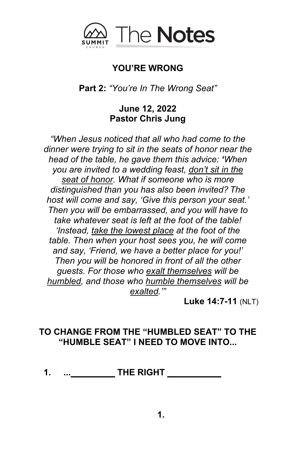

## **YOU'RE WRONG**

**Part 2:** *"You're In The Wrong Seat"*

## **June 12, 2022 Pastor Chris Jung**

*"When Jesus noticed that all who had come to the dinner were trying to sit in the seats of honor near the head of the table, he gave them this advice: 'When you are invited to a wedding feast, don't sit in the seat of honor. What if someone who is more distinguished than you has also been invited? The host will come and say, 'Give this person your seat.' Then you will be embarrassed, and you will have to take whatever seat is left at the foot of the table! 'Instead, take the lowest place at the foot of the table. Then when your host sees you, he will come and say, 'Friend, we have a better place for you!' Then you will be honored in front of all the other guests. For those who exalt themselves will be humbled, and those who humble themselves will be exalted.'"* 

**Luke 14:7-11** (NLT)

## **TO CHANGE FROM THE "HUMBLED SEAT" TO THE "HUMBLE SEAT" I NEED TO MOVE INTO...**

**1. ...\_\_\_\_\_\_\_\_\_ THE RIGHT \_\_\_\_\_\_\_\_\_\_\_**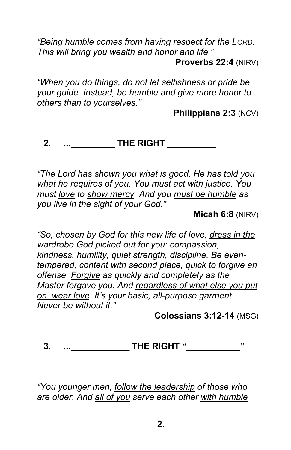*"Being humble comes from having respect for the LORD. This will bring you wealth and honor and life."* **Proverbs 22:4** (NIRV)

*"When you do things, do not let selfishness or pride be your guide. Instead, be humble and give more honor to others than to yourselves."* 

**Philippians 2:3** (NCV)

**2. ...\_\_\_\_\_\_\_\_\_ THE RIGHT \_\_\_\_\_\_\_\_\_\_**

*"The Lord has shown you what is good. He has told you what he requires of you. You must act with justice. You must love to show mercy. And you must be humble as you live in the sight of your God."* 

**Micah 6:8** (NIRV)

*"So, chosen by God for this new life of love, dress in the wardrobe God picked out for you: compassion, kindness, humility, quiet strength, discipline. Be eventempered, content with second place, quick to forgive an offense. Forgive as quickly and completely as the Master forgave you. And regardless of what else you put on, wear love. It's your basic, all-purpose garment. Never be without it."* 

**Colossians 3:12-14** (MSG)

**3. ...\_\_\_\_\_\_\_\_\_\_\_\_ THE RIGHT "\_\_\_\_\_\_\_\_\_\_\_"**

*"You younger men, follow the leadership of those who are older. And all of you serve each other with humble*